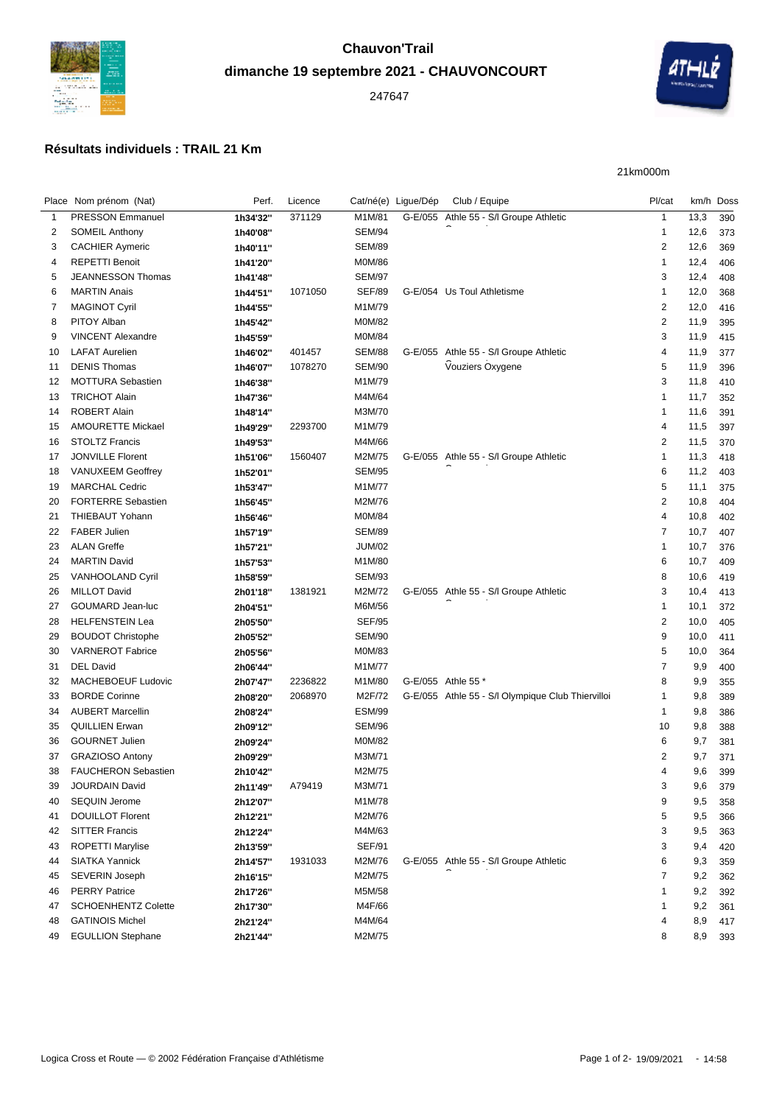

## **dimanche 19 septembre 2021 - CHAUVONCOURT**



## **Résultats individuels : TRAIL 21 Km**

21km000m

|    | Place Nom prénom (Nat)     | Perf.                | Licence |               | Cat/né(e) Ligue/Dép | Club / Equipe                                     | Pl/cat         |      | km/h Doss |
|----|----------------------------|----------------------|---------|---------------|---------------------|---------------------------------------------------|----------------|------|-----------|
| 1  | <b>PRESSON Emmanuel</b>    | 1h34'32"             | 371129  | M1M/81        |                     | G-E/055 Athle 55 - S/l Groupe Athletic            | $\mathbf{1}$   | 13,3 | 390       |
| 2  | <b>SOMEIL Anthony</b>      | 1h40'08"             |         | <b>SEM/94</b> |                     |                                                   | $\mathbf 1$    | 12,6 | 373       |
| 3  | <b>CACHIER Aymeric</b>     | 1h40'11"             |         | <b>SEM/89</b> |                     |                                                   | $\overline{2}$ | 12,6 | 369       |
| 4  | <b>REPETTI Benoit</b>      | 1h41'20"             |         | M0M/86        |                     |                                                   | $\mathbf{1}$   | 12,4 | 406       |
| 5  | JEANNESSON Thomas          | 1h41'48"             |         | <b>SEM/97</b> |                     |                                                   | 3              | 12,4 | 408       |
| 6  | <b>MARTIN Anais</b>        | 1h44'51"             | 1071050 | <b>SEF/89</b> |                     | G-E/054 Us Toul Athletisme                        | -1             | 12,0 | 368       |
| 7  | <b>MAGINOT Cyril</b>       | 1h44'55"             |         | M1M/79        |                     |                                                   | $\overline{c}$ | 12,0 | 416       |
| 8  | PITOY Alban                | 1h45'42"             |         | M0M/82        |                     |                                                   | $\overline{c}$ | 11,9 | 395       |
| 9  | <b>VINCENT Alexandre</b>   | 1h45'59"             |         | M0M/84        |                     |                                                   | 3              | 11,9 | 415       |
| 10 | <b>LAFAT Aurelien</b>      | 1h46'02"             | 401457  | <b>SEM/88</b> |                     | G-E/055 Athle 55 - S/I Groupe Athletic            | 4              | 11,9 | 377       |
| 11 | <b>DENIS Thomas</b>        | 1h46'07"             | 1078270 | <b>SEM/90</b> |                     | Vouziers Oxygene                                  | 5              | 11,9 | 396       |
| 12 | <b>MOTTURA Sebastien</b>   | 1h46'38"             |         | M1M/79        |                     |                                                   | 3              | 11,8 | 410       |
| 13 | <b>TRICHOT Alain</b>       | 1h47'36"             |         | M4M/64        |                     |                                                   | $\overline{1}$ | 11,7 | 352       |
| 14 | <b>ROBERT Alain</b>        | 1h48'14"             |         | M3M/70        |                     |                                                   | -1             | 11,6 | 391       |
| 15 | <b>AMOURETTE Mickael</b>   | 1h49'29"             | 2293700 | M1M/79        |                     |                                                   | $\overline{4}$ | 11,5 | 397       |
| 16 | <b>STOLTZ Francis</b>      | 1h49'53"             |         | M4M/66        |                     |                                                   | 2              | 11,5 | 370       |
| 17 | <b>JONVILLE Florent</b>    | 1h51'06"             | 1560407 | M2M/75        |                     | G-E/055 Athle 55 - S/I Groupe Athletic            | -1             | 11,3 | 418       |
| 18 | <b>VANUXEEM Geoffrey</b>   | 1h52'01"             |         | <b>SEM/95</b> |                     |                                                   | 6              | 11,2 | 403       |
| 19 | <b>MARCHAL Cedric</b>      |                      |         | M1M/77        |                     |                                                   | 5              | 11,1 | 375       |
| 20 | <b>FORTERRE Sebastien</b>  | 1h53'47"<br>1h56'45" |         | M2M/76        |                     |                                                   | $\overline{2}$ | 10,8 | 404       |
| 21 | THIEBAUT Yohann            |                      |         | M0M/84        |                     |                                                   | $\overline{4}$ | 10,8 | 402       |
|    | <b>FABER Julien</b>        | 1h56'46"             |         | <b>SEM/89</b> |                     |                                                   | $\overline{7}$ |      |           |
| 22 | <b>ALAN Greffe</b>         | 1h57'19"             |         | <b>JUM/02</b> |                     |                                                   | $\overline{1}$ | 10,7 | 407       |
| 23 |                            | 1h57'21"             |         |               |                     |                                                   |                | 10,7 | 376       |
| 24 | <b>MARTIN David</b>        | 1h57'53"             |         | M1M/80        |                     |                                                   | 6              | 10,7 | 409       |
| 25 | VANHOOLAND Cyril           | 1h58'59"             |         | <b>SEM/93</b> |                     |                                                   | 8              | 10,6 | 419       |
| 26 | <b>MILLOT David</b>        | 2h01'18"             | 1381921 | M2M/72        |                     | G-E/055 Athle 55 - S/I Groupe Athletic            | 3              | 10,4 | 413       |
| 27 | GOUMARD Jean-luc           | 2h04'51"             |         | M6M/56        |                     |                                                   | -1             | 10,1 | 372       |
| 28 | <b>HELFENSTEIN Lea</b>     | 2h05'50"             |         | <b>SEF/95</b> |                     |                                                   | $\overline{c}$ | 10,0 | 405       |
| 29 | <b>BOUDOT Christophe</b>   | 2h05'52"             |         | <b>SEM/90</b> |                     |                                                   | 9              | 10,0 | 411       |
| 30 | <b>VARNEROT Fabrice</b>    | 2h05'56"             |         | M0M/83        |                     |                                                   | 5              | 10,0 | 364       |
| 31 | <b>DEL David</b>           | 2h06'44"             |         | M1M/77        |                     |                                                   | 7              | 9,9  | 400       |
| 32 | MACHEBOEUF Ludovic         | 2h07'47"             | 2236822 | M1M/80        |                     | G-E/055 Athle 55 *                                | 8              | 9,9  | 355       |
| 33 | <b>BORDE Corinne</b>       | 2h08'20"             | 2068970 | M2F/72        |                     | G-E/055 Athle 55 - S/l Olympique Club Thiervilloi | $\overline{1}$ | 9,8  | 389       |
| 34 | <b>AUBERT Marcellin</b>    | 2h08'24"             |         | <b>ESM/99</b> |                     |                                                   | $\mathbf{1}$   | 9,8  | 386       |
| 35 | <b>QUILLIEN Erwan</b>      | 2h09'12"             |         | SEM/96        |                     |                                                   | 10             | 9,8  | 388       |
| 36 | <b>GOURNET Julien</b>      | 2h09'24"             |         | M0M/82        |                     |                                                   | 6              | 9,7  | 381       |
| 37 | <b>GRAZIOSO Antony</b>     | 2h09'29"             |         | M3M/71        |                     |                                                   | 2              | 9,7  | 371       |
| 38 | <b>FAUCHERON Sebastien</b> | 2h10'42"             |         | M2M/75        |                     |                                                   | 4              | 9,6  | 399       |
| 39 | JOURDAIN David             | 2h11'49"             | A79419  | M3M/71        |                     |                                                   | 3              |      | 9,6 379   |
| 40 | <b>SEQUIN Jerome</b>       | 2h12'07"             |         | M1M/78        |                     |                                                   | 9              | 9,5  | 358       |
| 41 | <b>DOUILLOT Florent</b>    | 2h12'21"             |         | M2M/76        |                     |                                                   | 5              | 9,5  | 366       |
| 42 | <b>SITTER Francis</b>      | 2h12'24"             |         | M4M/63        |                     |                                                   | 3              | 9,5  | 363       |
| 43 | ROPETTI Marylise           | 2h13'59"             |         | <b>SEF/91</b> |                     |                                                   | 3              | 9,4  | 420       |
| 44 | <b>SIATKA Yannick</b>      | 2h14'57"             | 1931033 | M2M/76        |                     | G-E/055 Athle 55 - S/I Groupe Athletic            | 6              | 9,3  | 359       |
| 45 | SEVERIN Joseph             | 2h16'15"             |         | M2M/75        |                     |                                                   | 7              | 9,2  | 362       |
| 46 | <b>PERRY Patrice</b>       | 2h17'26"             |         | M5M/58        |                     |                                                   | 1              | 9,2  | 392       |
| 47 | <b>SCHOENHENTZ Colette</b> | 2h17'30"             |         | M4F/66        |                     |                                                   | -1             | 9,2  | 361       |
| 48 | <b>GATINOIS Michel</b>     | 2h21'24"             |         | M4M/64        |                     |                                                   | 4              | 8,9  | 417       |
| 49 | <b>EGULLION Stephane</b>   | 2h21'44"             |         | M2M/75        |                     |                                                   | 8              | 8,9  | 393       |
|    |                            |                      |         |               |                     |                                                   |                |      |           |